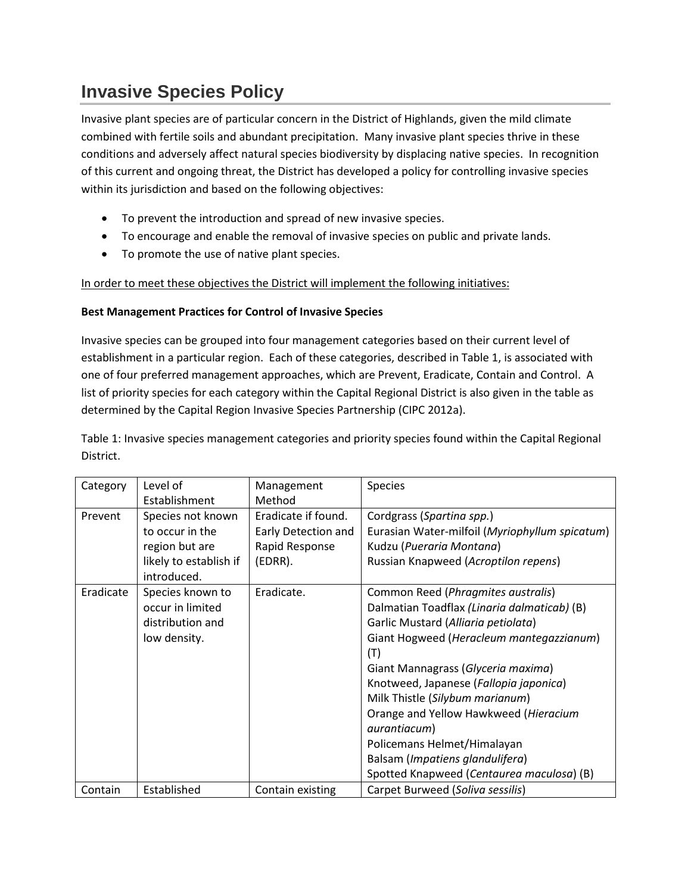# **Invasive Species Policy**

Invasive plant species are of particular concern in the District of Highlands, given the mild climate combined with fertile soils and abundant precipitation. Many invasive plant species thrive in these conditions and adversely affect natural species biodiversity by displacing native species. In recognition of this current and ongoing threat, the District has developed a policy for controlling invasive species within its jurisdiction and based on the following objectives:

- To prevent the introduction and spread of new invasive species.
- To encourage and enable the removal of invasive species on public and private lands.
- To promote the use of native plant species.

In order to meet these objectives the District will implement the following initiatives:

## **Best Management Practices for Control of Invasive Species**

Invasive species can be grouped into four management categories based on their current level of establishment in a particular region. Each of these categories, described in Table 1, is associated with one of four preferred management approaches, which are Prevent, Eradicate, Contain and Control. A list of priority species for each category within the Capital Regional District is also given in the table as determined by the Capital Region Invasive Species Partnership (CIPC 2012a).

Table 1: Invasive species management categories and priority species found within the Capital Regional District.

| Category  | Level of                              | Management          | <b>Species</b>                                 |
|-----------|---------------------------------------|---------------------|------------------------------------------------|
|           | Establishment                         | Method              |                                                |
| Prevent   | Species not known                     | Eradicate if found. | Cordgrass (Spartina spp.)                      |
|           | to occur in the                       | Early Detection and | Eurasian Water-milfoil (Myriophyllum spicatum) |
|           | region but are                        | Rapid Response      | Kudzu (Pueraria Montana)                       |
|           | likely to establish if<br>introduced. | (EDRR).             | Russian Knapweed (Acroptilon repens)           |
| Eradicate | Species known to                      | Eradicate.          | Common Reed (Phragmites australis)             |
|           | occur in limited                      |                     | Dalmatian Toadflax (Linaria dalmaticab) (B)    |
|           | distribution and                      |                     | Garlic Mustard (Alliaria petiolata)            |
|           | low density.                          |                     | Giant Hogweed (Heracleum mantegazzianum)       |
|           |                                       |                     | (T)                                            |
|           |                                       |                     | Giant Mannagrass (Glyceria maxima)             |
|           |                                       |                     | Knotweed, Japanese (Fallopia japonica)         |
|           |                                       |                     | Milk Thistle (Silybum marianum)                |
|           |                                       |                     | Orange and Yellow Hawkweed (Hieracium          |
|           |                                       |                     | aurantiacum)                                   |
|           |                                       |                     | Policemans Helmet/Himalayan                    |
|           |                                       |                     | Balsam (Impatiens glandulifera)                |
|           |                                       |                     | Spotted Knapweed (Centaurea maculosa) (B)      |
| Contain   | Established                           | Contain existing    | Carpet Burweed (Soliva sessilis)               |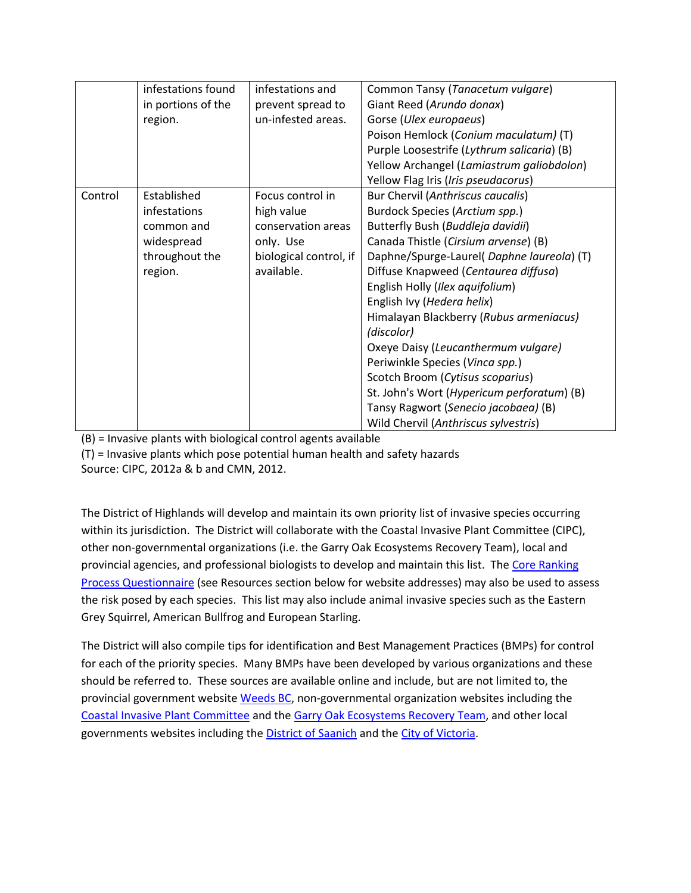|         | infestations found | infestations and       | Common Tansy (Tanacetum vulgare)           |
|---------|--------------------|------------------------|--------------------------------------------|
|         | in portions of the | prevent spread to      | Giant Reed (Arundo donax)                  |
|         | region.            | un-infested areas.     | Gorse (Ulex europaeus)                     |
|         |                    |                        | Poison Hemlock (Conium maculatum) (T)      |
|         |                    |                        | Purple Loosestrife (Lythrum salicaria) (B) |
|         |                    |                        | Yellow Archangel (Lamiastrum galiobdolon)  |
|         |                    |                        | Yellow Flag Iris (Iris pseudacorus)        |
| Control | Established        | Focus control in       | Bur Chervil (Anthriscus caucalis)          |
|         | infestations       | high value             | Burdock Species (Arctium spp.)             |
|         | common and         | conservation areas     | Butterfly Bush (Buddleja davidii)          |
|         | widespread         | only. Use              | Canada Thistle (Cirsium arvense) (B)       |
|         | throughout the     | biological control, if | Daphne/Spurge-Laurel( Daphne laureola) (T) |
|         | region.            | available.             | Diffuse Knapweed (Centaurea diffusa)       |
|         |                    |                        | English Holly (Ilex aquifolium)            |
|         |                    |                        | English Ivy (Hedera helix)                 |
|         |                    |                        | Himalayan Blackberry (Rubus armeniacus)    |
|         |                    |                        | (discolor)                                 |
|         |                    |                        | Oxeye Daisy (Leucanthermum vulgare)        |
|         |                    |                        | Periwinkle Species (Vinca spp.)            |
|         |                    |                        | Scotch Broom (Cytisus scoparius)           |
|         |                    |                        | St. John's Wort (Hypericum perforatum) (B) |
|         |                    |                        | Tansy Ragwort (Senecio jacobaea) (B)       |
|         |                    |                        | Wild Chervil (Anthriscus sylvestris)       |

(B) = Invasive plants with biological control agents available

(T) = Invasive plants which pose potential human health and safety hazards

Source: CIPC, 2012a & b and CMN, 2012.

The District of Highlands will develop and maintain its own priority list of invasive species occurring within its jurisdiction. The District will collaborate with the Coastal Invasive Plant Committee (CIPC), other non-governmental organizations (i.e. the Garry Oak Ecosystems Recovery Team), local and provincial agencies, and professional biologists to develop and maintain this list. The [Core Ranking](http://www.for.gov.bc.ca/hra/invasive-species/CalculatorSMA.htm)  [Process Questionnaire](http://www.for.gov.bc.ca/hra/invasive-species/CalculatorSMA.htm) (see Resources section below for website addresses) may also be used to assess the risk posed by each species. This list may also include animal invasive species such as the Eastern Grey Squirrel, American Bullfrog and European Starling.

The District will also compile tips for identification and Best Management Practices (BMPs) for control for each of the priority species. Many BMPs have been developed by various organizations and these should be referred to. These sources are available online and include, but are not limited to, the provincial government website [Weeds BC,](http://www.weedsbc.ca/browse.html) non-governmental organization websites including the [Coastal Invasive Plant Committee](http://www.coastalinvasiveplants.com/invasive-plants/priority-plants) and th[e Garry Oak Ecosystems Recovery Team,](http://www.goert.ca/publications_resources/invasive_species.php) and other local governments websites including the [District of Saanich](http://www.saanich.ca/living/natural/resources/invasivebrochures.html) and th[e City of Victoria.](http://www.victoria.ca/EN/main/departments/parks-rec-culture/parks/natural-areas/invasive-species.html)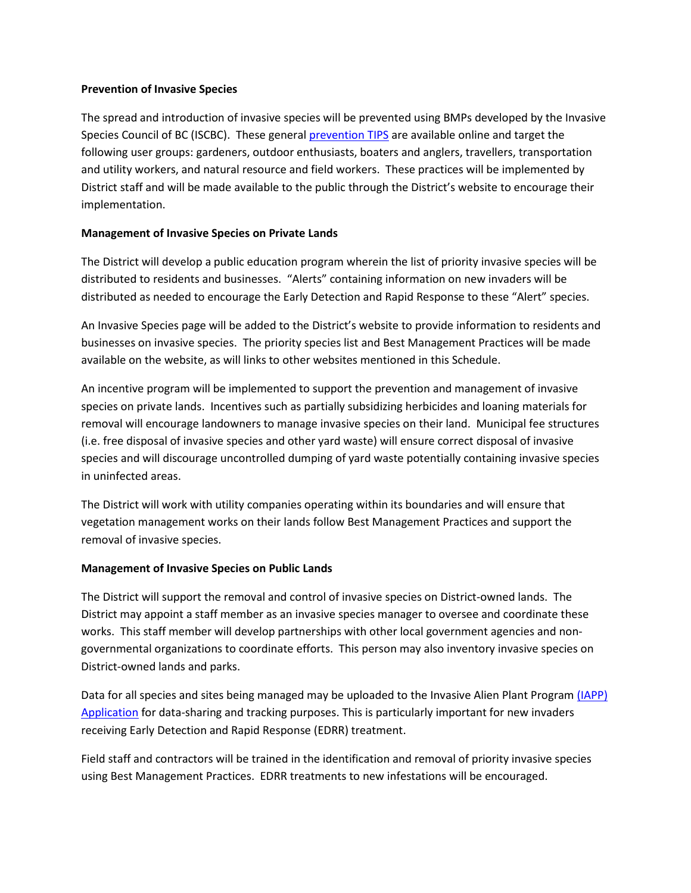### **Prevention of Invasive Species**

The spread and introduction of invasive species will be prevented using BMPs developed by the Invasive Species Council of BC (ISCBC). These general [prevention TIPS](http://www.bcinvasives.ca/you-can-help/prevention-tips) are available online and target the following user groups: gardeners, outdoor enthusiasts, boaters and anglers, travellers, transportation and utility workers, and natural resource and field workers. These practices will be implemented by District staff and will be made available to the public through the District's website to encourage their implementation.

## **Management of Invasive Species on Private Lands**

The District will develop a public education program wherein the list of priority invasive species will be distributed to residents and businesses. "Alerts" containing information on new invaders will be distributed as needed to encourage the Early Detection and Rapid Response to these "Alert" species.

An Invasive Species page will be added to the District's website to provide information to residents and businesses on invasive species. The priority species list and Best Management Practices will be made available on the website, as will links to other websites mentioned in this Schedule.

An incentive program will be implemented to support the prevention and management of invasive species on private lands. Incentives such as partially subsidizing herbicides and loaning materials for removal will encourage landowners to manage invasive species on their land. Municipal fee structures (i.e. free disposal of invasive species and other yard waste) will ensure correct disposal of invasive species and will discourage uncontrolled dumping of yard waste potentially containing invasive species in uninfected areas.

The District will work with utility companies operating within its boundaries and will ensure that vegetation management works on their lands follow Best Management Practices and support the removal of invasive species.

#### **Management of Invasive Species on Public Lands**

The District will support the removal and control of invasive species on District-owned lands. The District may appoint a staff member as an invasive species manager to oversee and coordinate these works. This staff member will develop partnerships with other local government agencies and nongovernmental organizations to coordinate efforts. This person may also inventory invasive species on District-owned lands and parks.

Data for all species and sites being managed may be uploaded to the Invasive Alien Plant Program [\(IAPP\)](http://www.for.gov.bc.ca/hra/plants/application.htm) [Application](http://www.for.gov.bc.ca/hra/plants/application.htm) for data-sharing and tracking purposes. This is particularly important for new invaders receiving Early Detection and Rapid Response (EDRR) treatment.

Field staff and contractors will be trained in the identification and removal of priority invasive species using Best Management Practices. EDRR treatments to new infestations will be encouraged.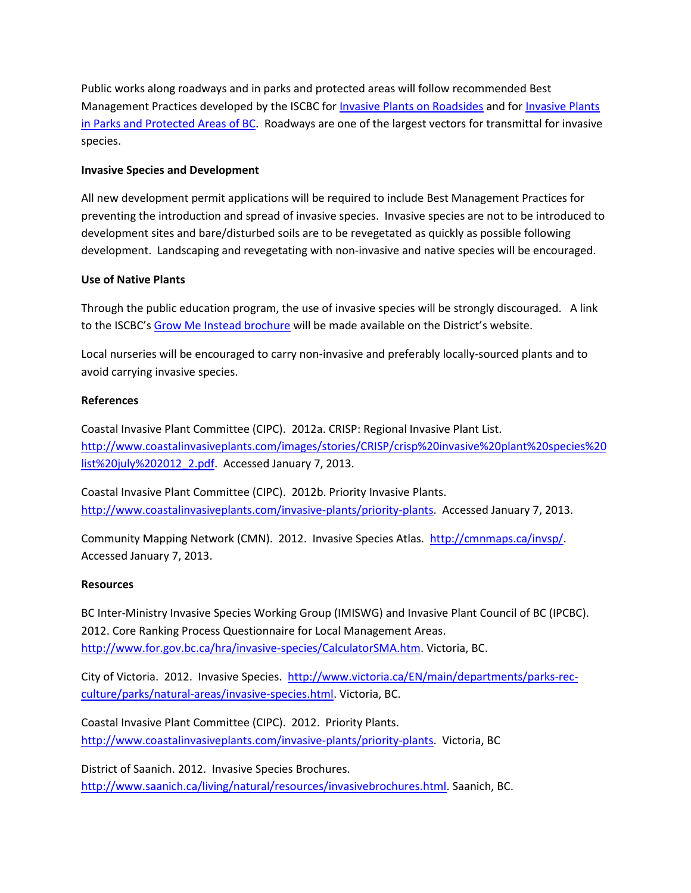Public works along roadways and in parks and protected areas will follow recommended Best Management Practices developed by the ISCBC for [Invasive Plants on Roadsides](http://www.bcinvasiveplants.com/iscbc/images/stories/documents/otherpublications/Weed_Guide_web.pdf) and fo[r Invasive Plants](http://www.bcinvasiveplants.com/iscbc/images/stories/documents/otherpublications/BC-Parks-IP-Guide_web_sm.pdf)  [in Parks and Protected Areas of BC.](http://www.bcinvasiveplants.com/iscbc/images/stories/documents/otherpublications/BC-Parks-IP-Guide_web_sm.pdf) Roadways are one of the largest vectors for transmittal for invasive species.

## **Invasive Species and Development**

All new development permit applications will be required to include Best Management Practices for preventing the introduction and spread of invasive species. Invasive species are not to be introduced to development sites and bare/disturbed soils are to be revegetated as quickly as possible following development. Landscaping and revegetating with non-invasive and native species will be encouraged.

## **Use of Native Plants**

Through the public education program, the use of invasive species will be strongly discouraged. A link to the ISCBC'[s Grow Me Instead brochure](http://www.bcinvasiveplants.com/iscbc/images/stories/documents/otherpublications/GMI_2011_web.pdf) will be made available on the District's website.

Local nurseries will be encouraged to carry non-invasive and preferably locally-sourced plants and to avoid carrying invasive species.

## **References**

Coastal Invasive Plant Committee (CIPC). 2012a. CRISP: Regional Invasive Plant List. [http://www.coastalinvasiveplants.com/images/stories/CRISP/crisp%20invasive%20plant%20species%20](http://www.coastalinvasiveplants.com/images/stories/CRISP/crisp%20invasive%20plant%20species%20list%20july%202012_2.pdf) [list%20july%202012\\_2.pdf.](http://www.coastalinvasiveplants.com/images/stories/CRISP/crisp%20invasive%20plant%20species%20list%20july%202012_2.pdf) Accessed January 7, 2013.

Coastal Invasive Plant Committee (CIPC). 2012b. Priority Invasive Plants. [http://www.coastalinvasiveplants.com/invasive-plants/priority-plants.](http://www.coastalinvasiveplants.com/invasive-plants/priority-plants) Accessed January 7, 2013.

Community Mapping Network (CMN). 2012. Invasive Species Atlas. [http://cmnmaps.ca/invsp/.](http://cmnmaps.ca/invsp/) Accessed January 7, 2013.

## **Resources**

BC Inter-Ministry Invasive Species Working Group (IMISWG) and Invasive Plant Council of BC (IPCBC). 2012. Core Ranking Process Questionnaire for Local Management Areas. [http://www.for.gov.bc.ca/hra/invasive-species/CalculatorSMA.htm.](http://www.for.gov.bc.ca/hra/invasive-species/CalculatorSMA.htm) Victoria, BC.

City of Victoria. 2012. Invasive Species. [http://www.victoria.ca/EN/main/departments/parks-rec](http://www.victoria.ca/EN/main/departments/parks-rec-culture/parks/natural-areas/invasive-species.html)[culture/parks/natural-areas/invasive-species.html.](http://www.victoria.ca/EN/main/departments/parks-rec-culture/parks/natural-areas/invasive-species.html) Victoria, BC.

Coastal Invasive Plant Committee (CIPC). 2012. Priority Plants. [http://www.coastalinvasiveplants.com/invasive-plants/priority-plants.](http://www.coastalinvasiveplants.com/invasive-plants/priority-plants) Victoria, BC

District of Saanich. 2012. Invasive Species Brochures. [http://www.saanich.ca/living/natural/resources/invasivebrochures.html.](http://www.saanich.ca/living/natural/resources/invasivebrochures.html) Saanich, BC.